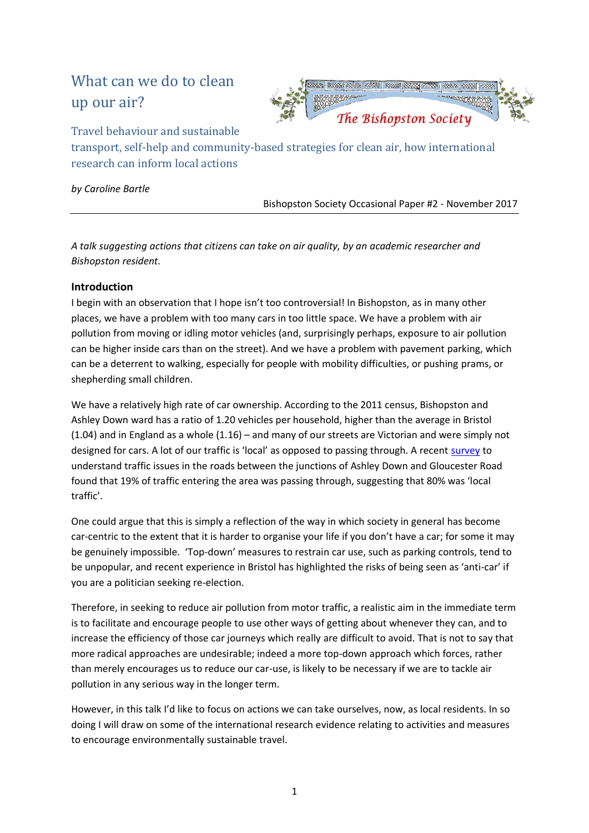# What can we do to clean up our air?



Travel behaviour and sustainable

transport, self-help and community-based strategies for clean air, how international research can inform local actions

*by Caroline Bartle*

Bishopston Society Occasional Paper #2 - November 2017

*A talk suggesting actions that citizens can take on air quality, by an academic researcher and Bishopston resident.*

# **Introduction**

I begin with an observation that I hope isn't too controversial! In Bishopston, as in many other places, we have a problem with too many cars in too little space. We have a problem with air pollution from moving or idling motor vehicles (and, surprisingly perhaps, exposure to air pollution can be higher [inside cars](http://www.sciencedirect.com/science/article/pii/S004896971400713X) than on the street). And we have a problem with pavement parking, which can be a deterrent to walking, especially for people with mobility difficulties, or pushing prams, or shepherding small children.

We have a relatively high rate of car ownership. According to the 2011 census, Bishopston and Ashley Down ward has a ratio of 1.20 vehicles per household, higher than the average in Bristol (1.04) and in England as a whole (1.16) – and many of our streets are Victorian and were simply not designed for cars. A lot of our traffic is 'local' as opposed to passing through. A recent [survey](http://eprints.uwe.ac.uk/31935/) to understand traffic issues in the roads between the junctions of Ashley Down and Gloucester Road found that 19% of traffic entering the area was passing through, suggesting that 80% was 'local traffic'.

One could argue that this is simply a reflection of the way in which society in general has become car-centric to the extent that it is harder to organise your life if you don't have a car; for some it may be genuinely impossible. 'Top-down' measures to restrain car use, such as parking controls, tend to be unpopular, and recent experience in Bristol has highlighted the risks of being seen as 'anti-car' if you are a politician seeking re-election.

Therefore, in seeking to reduce air pollution from motor traffic, a realistic aim in the immediate term is to facilitate and encourage people to use other ways of getting about whenever they can, and to increase the efficiency of those car journeys which really are difficult to avoid. That is not to say that more radical approaches are undesirable; indeed a more top-down approach which forces, rather than merely encourages us to reduce our car-use, is likely to be necessary if we are to tackle air pollution in any serious way in the longer term.

However, in this talk I'd like to focus on actions we can take ourselves, now, as local residents. In so doing I will draw on some of the international research evidence relating to activities and measures to encourage environmentally sustainable travel.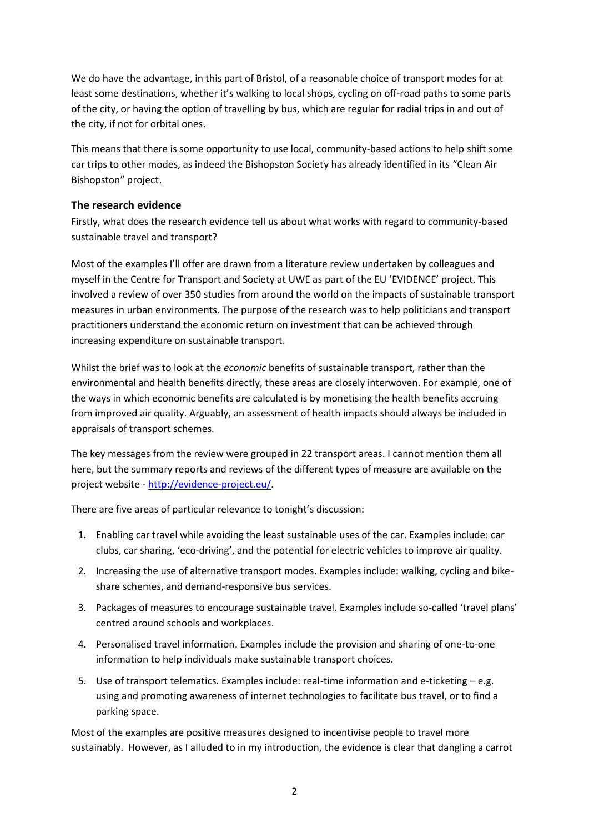We do have the advantage, in this part of Bristol, of a reasonable choice of transport modes for at least some destinations, whether it's walking to local shops, cycling on off-road paths to some parts of the city, or having the option of travelling by bus, which are regular for radial trips in and out of the city, if not for orbital ones.

This means that there is some opportunity to use local, community-based actions to help shift some car trips to other modes, as indeed the Bishopston Society has already identified in its "Clean Air Bishopston" project.

#### **The research evidence**

Firstly, what does the research evidence tell us about what works with regard to community-based sustainable travel and transport?

Most of the examples I'll offer are drawn from a literature review undertaken by colleagues and myself in the Centre for Transport and Society at UWE as part of the EU 'EVIDENCE' project. This involved a review of over 350 studies from around the world on the impacts of sustainable transport measures in urban environments. The purpose of the research was to help politicians and transport practitioners understand the economic return on investment that can be achieved through increasing expenditure on sustainable transport.

Whilst the brief was to look at the *economic* benefits of sustainable transport, rather than the environmental and health benefits directly, these areas are closely interwoven. For example, one of the ways in which economic benefits are calculated is by monetising the health benefits accruing from improved air quality. Arguably, an assessment of health impacts should always be included in appraisals of transport schemes.

The key messages from the review were grouped in 22 transport areas. I cannot mention them all here, but the summary reports and reviews of the different types of measure are available on the project website - [http://evidence-project.eu/.](http://evidence-project.eu/)

There are five areas of particular relevance to tonight's discussion:

- 1. Enabling car travel while avoiding the least sustainable uses of the car. Examples include: car clubs, car sharing, 'eco-driving', and the potential for electric vehicles to improve air quality.
- 2. Increasing the use of alternative transport modes. Examples include: walking, cycling and bikeshare schemes, and demand-responsive bus services.
- 3. Packages of measures to encourage sustainable travel. Examples include so-called 'travel plans' centred around schools and workplaces.
- 4. Personalised travel information. Examples include the provision and sharing of one-to-one information to help individuals make sustainable transport choices.
- 5. Use of transport telematics. Examples include: real-time information and e-ticketing e.g. using and promoting awareness of internet technologies to facilitate bus travel, or to find a parking space.

Most of the examples are positive measures designed to incentivise people to travel more sustainably. However, as I alluded to in my introduction, the evidence is clear that dangling a carrot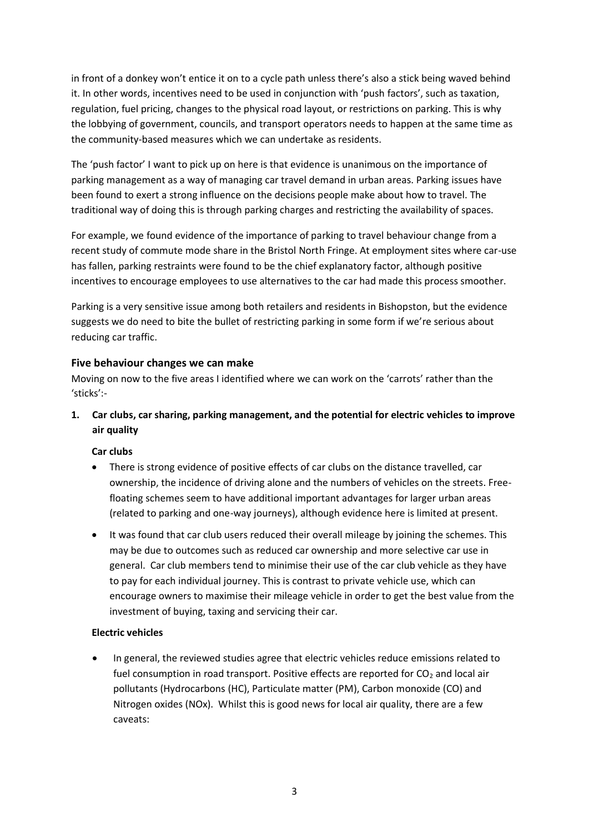in front of a donkey won't entice it on to a cycle path unless there's also a stick being waved behind it. In other words, incentives need to be used in conjunction with 'push factors', such as taxation, regulation, fuel pricing, changes to the physical road layout, or restrictions on parking. This is why the lobbying of government, councils, and transport operators needs to happen at the same time as the community-based measures which we can undertake as residents.

The 'push factor' I want to pick up on here is that evidence is unanimous on the importance of parking management as a way of managing car travel demand in urban areas. Parking issues have been found to exert a strong influence on the decisions people make about how to travel. The traditional way of doing this is through parking charges and restricting the availability of spaces.

For example, we found evidence of the importance of parking to travel behaviour change from a recent study of commute mode share in the Bristol North Fringe. At employment sites where car-use has fallen, parking restraints were found to be the chief explanatory factor, although positive incentives to encourage employees to use alternatives to the car had made this process smoother.

Parking is a very sensitive issue among both retailers and residents in Bishopston, but the evidence suggests we do need to bite the bullet of restricting parking in some form if we're serious about reducing car traffic.

#### **Five behaviour changes we can make**

Moving on now to the five areas I identified where we can work on the 'carrots' rather than the 'sticks':-

**1. Car clubs, car sharing, parking management, and the potential for electric vehicles to improve air quality**

#### **Car clubs**

- There is strong evidence of positive effects of car clubs on the distance travelled, car ownership, the incidence of driving alone and the numbers of vehicles on the streets. Freefloating schemes seem to have additional important advantages for larger urban areas (related to parking and one-way journeys), although evidence here is limited at present.
- It was found that car club users reduced their overall mileage by joining the schemes. This may be due to outcomes such as reduced car ownership and more selective car use in general. Car club members tend to minimise their use of the car club vehicle as they have to pay for each individual journey. This is contrast to private vehicle use, which can encourage owners to maximise their mileage vehicle in order to get the best value from the investment of buying, taxing and servicing their car.

#### **Electric vehicles**

• In general, the reviewed studies agree that electric vehicles reduce emissions related to fuel consumption in road transport. Positive effects are reported for  $CO<sub>2</sub>$  and local air pollutants (Hydrocarbons (HC), Particulate matter (PM), Carbon monoxide (CO) and Nitrogen oxides (NOx). Whilst this is good news for local air quality, there are a few caveats: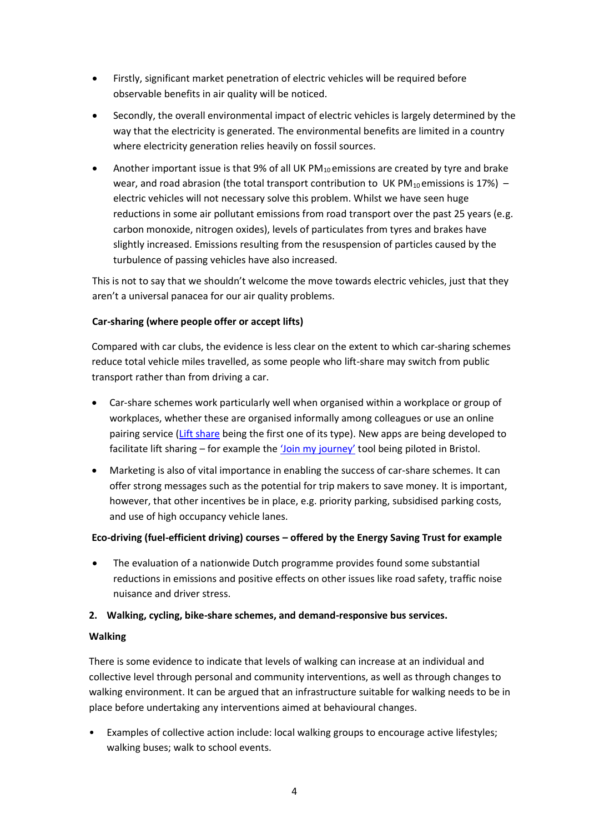- Firstly, significant market penetration of electric vehicles will be required before observable benefits in air quality will be noticed.
- Secondly, the overall environmental impact of electric vehicles is largely determined by the way that the electricity is generated. The environmental benefits are limited in a country where electricity generation relies heavily on fossil sources.
- Another important issue is that 9% of all UK  $PM_{10}$  emissions are created by tyre and brake wear, and road abrasion (the total transport contribution to UK PM<sub>10</sub> emissions is 17%) – electric vehicles will not necessary solve this problem. Whilst we have seen huge reductions in some air pollutant emissions from road transport over the past 25 years (e.g. carbon monoxide, nitrogen oxides), levels of particulates from tyres and brakes have slightly increased. Emissions resulting from the resuspension of particles caused by the turbulence of passing vehicles have also increased.

This is not to say that we shouldn't welcome the move towards electric vehicles, just that they aren't a universal panacea for our air quality problems.

#### **Car-sharing (where people offer or accept lifts)**

Compared with car clubs, the evidence is less clear on the extent to which car-sharing schemes reduce total vehicle miles travelled, as some people who lift-share may switch from public transport rather than from driving a car.

- Car-share schemes work particularly well when organised within a workplace or group of workplaces, whether these are organised informally among colleagues or use an online pairing service [\(Lift share](https://liftshare.com/uk) being the first one of its type). New apps are being developed to facilitate lift sharing – for example the ['Join my journey'](https://www.joinmyjourney.org/) tool being piloted in Bristol.
- Marketing is also of vital importance in enabling the success of car-share schemes. It can offer strong messages such as the potential for trip makers to save money. It is important, however, that other incentives be in place, e.g. priority parking, subsidised parking costs, and use of high occupancy vehicle lanes.

#### **Eco-driving (fuel-efficient driving) courses – offered by the Energy Saving Trust for example**

• The evaluation of a nationwide Dutch programme provides found some substantial reductions in emissions and positive effects on other issues like road safety, traffic noise nuisance and driver stress.

#### **2. Walking, cycling, bike-share schemes, and demand-responsive bus services.**

#### **Walking**

There is some evidence to indicate that levels of walking can increase at an individual and collective level through personal and community interventions, as well as through changes to walking environment. It can be argued that an infrastructure suitable for walking needs to be in place before undertaking any interventions aimed at behavioural changes.

• Examples of collective action include: local walking groups to encourage active lifestyles; walking buses; walk to school events.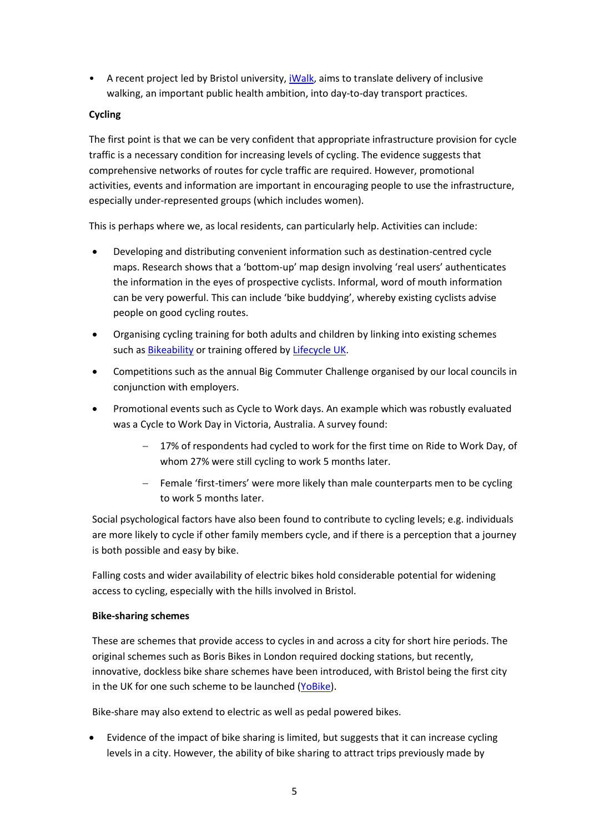• A recent project led by Bristol university, [iWalk,](https://greaterbedminster.org.uk/wp-content/uploads/2017/08/iWalk_June-DRAFT.pdf) aims to translate delivery of inclusive walking, an important public health ambition, into day-to-day transport practices.

#### **Cycling**

The first point is that we can be very confident that appropriate infrastructure provision for cycle traffic is a necessary condition for increasing levels of cycling. The evidence suggests that comprehensive networks of routes for cycle traffic are required. However, promotional activities, events and information are important in encouraging people to use the infrastructure, especially under-represented groups (which includes women).

This is perhaps where we, as local residents, can particularly help. Activities can include:

- Developing and distributing convenient information such as destination-centred cycle maps. Research shows that a 'bottom-up' map design involving 'real users' authenticates the information in the eyes of prospective cyclists. Informal, word of mouth information can be very powerful. This can include 'bike buddying', whereby existing cyclists advise people on good cycling routes.
- Organising cycling training for both adults and children by linking into existing schemes such as **Bikeability** or training offered by **Lifecycle UK**.
- Competitions such as the annual Big Commuter Challenge organised by our local councils in conjunction with employers.
- Promotional events such as Cycle to Work days. An example which was robustly evaluated was a Cycle to Work Day in Victoria, Australia. A survey found:
	- 17% of respondents had cycled to work for the first time on Ride to Work Day, of whom 27% were still cycling to work 5 months later.
	- Female 'first-timers' were more likely than male counterparts men to be cycling to work 5 months later.

Social psychological factors have also been found to contribute to cycling levels; e.g. individuals are more likely to cycle if other family members cycle, and if there is a perception that a journey is both possible and easy by bike.

Falling costs and wider availability of electric bikes hold considerable potential for widening access to cycling, especially with the hills involved in Bristol.

#### **Bike-sharing schemes**

These are schemes that provide access to cycles in and across a city for short hire periods. The original schemes such as Boris Bikes in London required docking stations, but recently, innovative, dockless bike share schemes have been introduced, with Bristol being the first city in the UK for one such scheme to be launched [\(YoBike\)](https://yobike.com/).

Bike-share may also extend to electric as well as pedal powered bikes.

• Evidence of the impact of bike sharing is limited, but suggests that it can increase cycling levels in a city. However, the ability of bike sharing to attract trips previously made by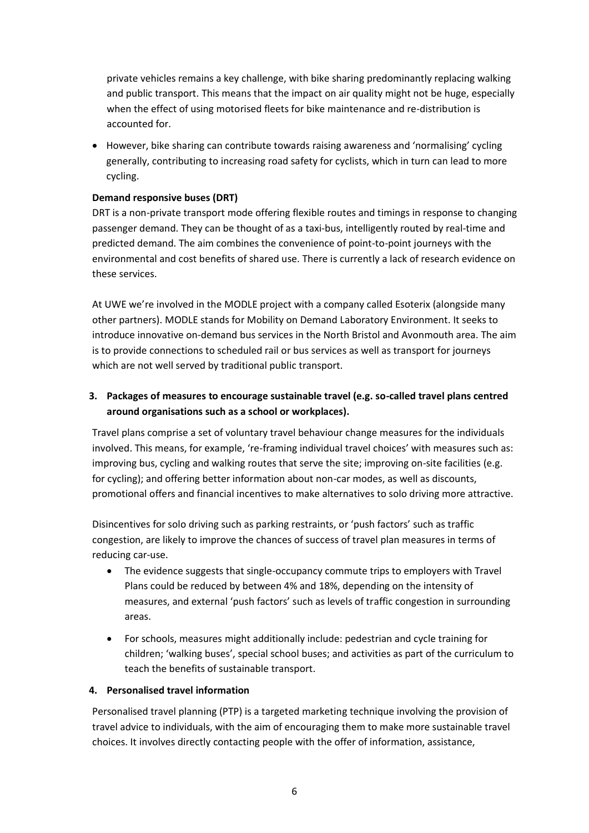private vehicles remains a key challenge, with bike sharing predominantly replacing walking and public transport. This means that the impact on air quality might not be huge, especially when the effect of using motorised fleets for bike maintenance and re-distribution is accounted for.

• However, bike sharing can contribute towards raising awareness and 'normalising' cycling generally, contributing to increasing road safety for cyclists, which in turn can lead to more cycling.

#### **Demand responsive buses (DRT)**

DRT is a non-private transport mode offering flexible routes and timings in response to changing passenger demand. They can be thought of as a taxi-bus, intelligently routed by real-time and predicted demand. The aim combines the convenience of point-to-point journeys with the environmental and cost benefits of shared use. There is currently a lack of research evidence on these services.

At UWE we're involved in the [MODLE project](https://info.uwe.ac.uk/news/uwenews/news.aspx?id=3493) with a company called Esoterix (alongside many other partners). MODLE stands for Mobility on Demand Laboratory Environment. It seeks to introduce innovative on-demand bus services in the North Bristol and Avonmouth area. The aim is to provide connections to scheduled rail or bus services as well as transport for journeys which are not well served by traditional public transport.

# **3. Packages of measures to encourage sustainable travel (e.g. so-called travel plans centred around organisations such as a school or workplaces).**

Travel plans comprise a set of voluntary travel behaviour change measures for the individuals involved. This means, for example, 're-framing individual travel choices' with measures such as: improving bus, cycling and walking routes that serve the site; improving on-site facilities (e.g. for cycling); and offering better information about non-car modes, as well as discounts, promotional offers and financial incentives to make alternatives to solo driving more attractive.

Disincentives for solo driving such as parking restraints, or 'push factors' such as traffic congestion, are likely to improve the chances of success of travel plan measures in terms of reducing car-use.

- The evidence suggests that single-occupancy commute trips to employers with Travel Plans could be reduced by between 4% and 18%, depending on the intensity of measures, and external 'push factors' such as levels of traffic congestion in surrounding areas.
- For schools, measures might additionally include: pedestrian and cycle training for children; 'walking buses', special school buses; and activities as part of the curriculum to teach the benefits of sustainable transport.

#### **4. Personalised travel information**

Personalised travel planning (PTP) is a targeted marketing technique involving the provision of travel advice to individuals, with the aim of encouraging them to make more sustainable travel choices. It involves directly contacting people with the offer of information, assistance,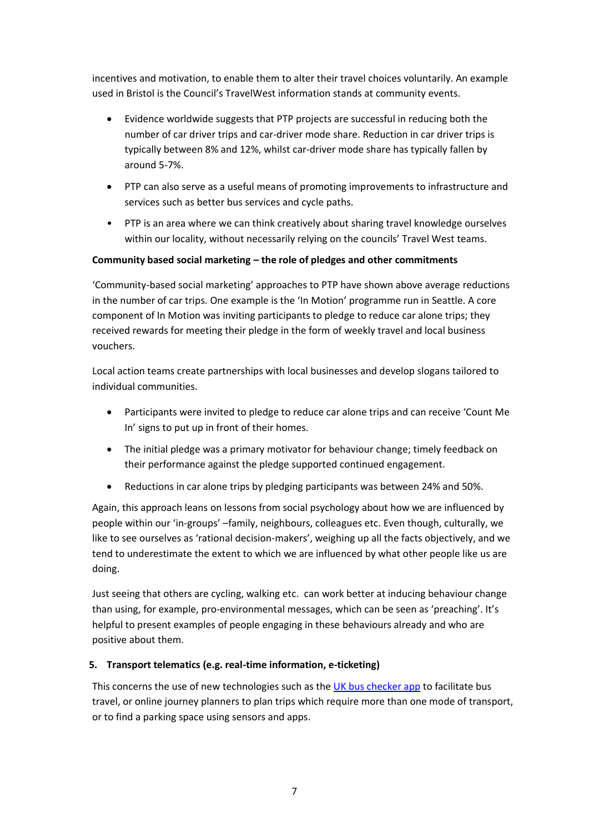incentives and motivation, to enable them to alter their travel choices voluntarily. An example used in Bristol is the Council's TravelWest information stands at community events.

- Evidence worldwide suggests that PTP projects are successful in reducing both the number of car driver trips and car-driver mode share. Reduction in car driver trips is typically between 8% and 12%, whilst car-driver mode share has typically fallen by around 5-7%.
- PTP can also serve as a useful means of promoting improvements to infrastructure and services such as better bus services and cycle paths.
- PTP is an area where we can think creatively about sharing travel knowledge ourselves within our locality, without necessarily relying on the councils' Travel West teams.

#### **Community based social marketing – the role of pledges and other commitments**

'Community-based social marketing' approaches to PTP have shown above average reductions in the number of car trips. One example is the 'In Motion' programme run in Seattle. A core component of In Motion was inviting participants to pledge to reduce car alone trips; they received rewards for meeting their pledge in the form of weekly travel and local business vouchers.

Local action teams create partnerships with local businesses and develop slogans tailored to individual communities.

- Participants were invited to pledge to reduce car alone trips and can receive 'Count Me In' signs to put up in front of their homes.
- The initial pledge was a primary motivator for behaviour change; timely feedback on their performance against the pledge supported continued engagement.
- Reductions in car alone trips by pledging participants was between 24% and 50%.

Again, this approach leans on lessons from social psychology about how we are influenced by people within our 'in-groups' –family, neighbours, colleagues etc. Even though, culturally, we like to see ourselves as 'rational decision-makers', weighing up all the facts objectively, and we tend to underestimate the extent to which we are influenced by what other people like us are doing.

Just seeing that others are cycling, walking etc. can work better at inducing behaviour change than using, for example, pro-environmental messages, which can be seen as 'preaching'. It's helpful to present examples of people engaging in these behaviours already and who are positive about them.

#### **5. Transport telematics (e.g. real-time information, e-ticketing)**

This concerns the use of new technologies such as the [UK bus checker app](http://www.buschecker.com/app/UK/) to facilitate bus travel, or online journey planners to plan trips which require more than one mode of transport, or to find a parking space using sensors and apps.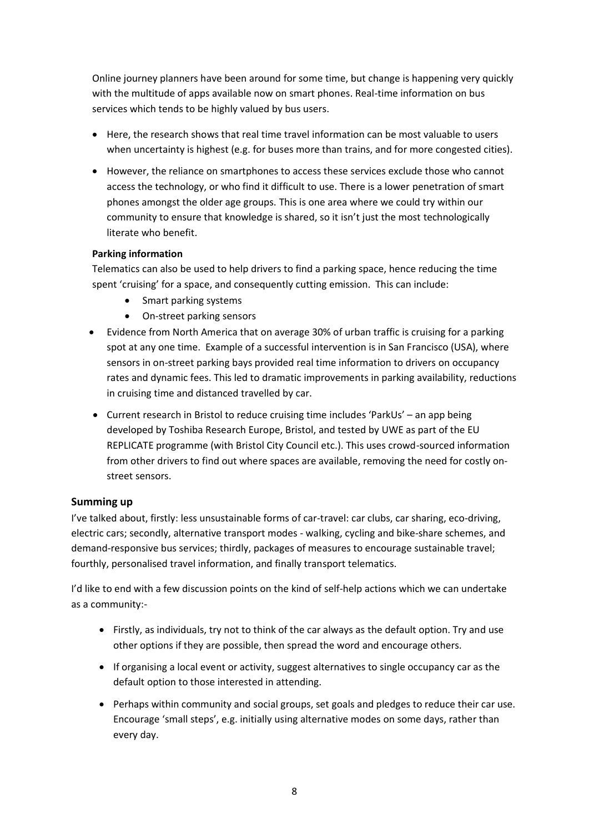Online journey planners have been around for some time, but change is happening very quickly with the multitude of apps available now on smart phones. Real-time information on bus services which tends to be highly valued by bus users.

- Here, the research shows that real time travel information can be most valuable to users when uncertainty is highest (e.g. for buses more than trains, and for more congested cities).
- However, the reliance on smartphones to access these services exclude those who cannot access the technology, or who find it difficult to use. There is a lower penetration of smart phones amongst the older age groups. This is one area where we could try within our community to ensure that knowledge is shared, so it isn't just the most technologically literate who benefit.

#### **Parking information**

Telematics can also be used to help drivers to find a parking space, hence reducing the time spent 'cruising' for a space, and consequently cutting emission. This can include:

- Smart parking systems
- On-street parking sensors
- Evidence from North America that on average 30% of urban traffic is cruising for a parking spot at any one time. Example of a successful intervention is in San Francisco (USA), where sensors in on-street parking bays provided real time information to drivers on occupancy rates and dynamic fees. This led to dramatic improvements in parking availability, reductions in cruising time and distanced travelled by car.
- Current research in Bristol to reduce cruising time includes 'ParkUs' an app being developed by Toshiba Research Europe, Bristol, and tested by UWE as part of the EU REPLICATE programme (with Bristol City Council etc.). This uses crowd-sourced information from other drivers to find out where spaces are available, removing the need for costly onstreet sensors.

# **Summing up**

I've talked about, firstly: less unsustainable forms of car-travel: car clubs, car sharing, eco-driving, electric cars; secondly, alternative transport modes - walking, cycling and bike-share schemes, and demand-responsive bus services; thirdly, packages of measures to encourage sustainable travel; fourthly, personalised travel information, and finally transport telematics.

I'd like to end with a few discussion points on the kind of self-help actions which we can undertake as a community:-

- Firstly, as individuals, try not to think of the car always as the default option. Try and use other options if they are possible, then spread the word and encourage others.
- If organising a local event or activity, suggest alternatives to single occupancy car as the default option to those interested in attending.
- Perhaps within community and social groups, set goals and pledges to reduce their car use. Encourage 'small steps', e.g. initially using alternative modes on some days, rather than every day.